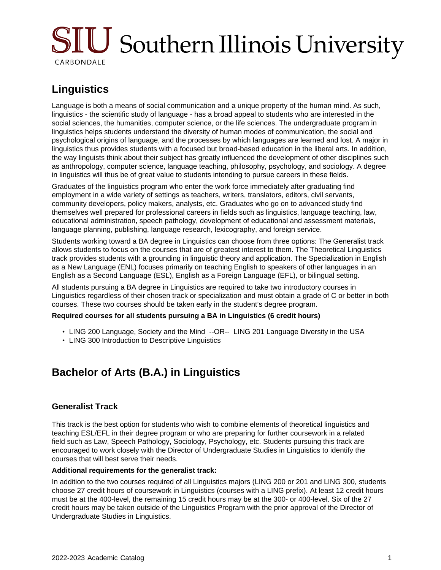# SIU Southern Illinois University CARBONDALE

# **Linguistics**

Language is both a means of social communication and a unique property of the human mind. As such, linguistics - the scientific study of language - has a broad appeal to students who are interested in the social sciences, the humanities, computer science, or the life sciences. The undergraduate program in linguistics helps students understand the diversity of human modes of communication, the social and psychological origins of language, and the processes by which languages are learned and lost. A major in linguistics thus provides students with a focused but broad-based education in the liberal arts. In addition, the way linguists think about their subject has greatly influenced the development of other disciplines such as anthropology, computer science, language teaching, philosophy, psychology, and sociology. A degree in linguistics will thus be of great value to students intending to pursue careers in these fields.

Graduates of the linguistics program who enter the work force immediately after graduating find employment in a wide variety of settings as teachers, writers, translators, editors, civil servants, community developers, policy makers, analysts, etc. Graduates who go on to advanced study find themselves well prepared for professional careers in fields such as linguistics, language teaching, law, educational administration, speech pathology, development of educational and assessment materials, language planning, publishing, language research, lexicography, and foreign service.

Students working toward a BA degree in Linguistics can choose from three options: The Generalist track allows students to focus on the courses that are of greatest interest to them. The Theoretical Linguistics track provides students with a grounding in linguistic theory and application. The Specialization in English as a New Language (ENL) focuses primarily on teaching English to speakers of other languages in an English as a Second Language (ESL), English as a Foreign Language (EFL), or bilingual setting.

All students pursuing a BA degree in Linguistics are required to take two introductory courses in Linguistics regardless of their chosen track or specialization and must obtain a grade of C or better in both courses. These two courses should be taken early in the student's degree program.

#### **Required courses for all students pursuing a BA in Linguistics (6 credit hours)**

- LING 200 Language, Society and the Mind --OR-- LING 201 Language Diversity in the USA
- LING 300 Introduction to Descriptive Linguistics

# **Bachelor of Arts (B.A.) in Linguistics**

## **Generalist Track**

This track is the best option for students who wish to combine elements of theoretical linguistics and teaching ESL/EFL in their degree program or who are preparing for further coursework in a related field such as Law, Speech Pathology, Sociology, Psychology, etc. Students pursuing this track are encouraged to work closely with the Director of Undergraduate Studies in Linguistics to identify the courses that will best serve their needs.

#### **Additional requirements for the generalist track:**

In addition to the two courses required of all Linguistics majors (LING 200 or 201 and LING 300, students choose 27 credit hours of coursework in Linguistics (courses with a LING prefix). At least 12 credit hours must be at the 400-level, the remaining 15 credit hours may be at the 300- or 400-level. Six of the 27 credit hours may be taken outside of the Linguistics Program with the prior approval of the Director of Undergraduate Studies in Linguistics.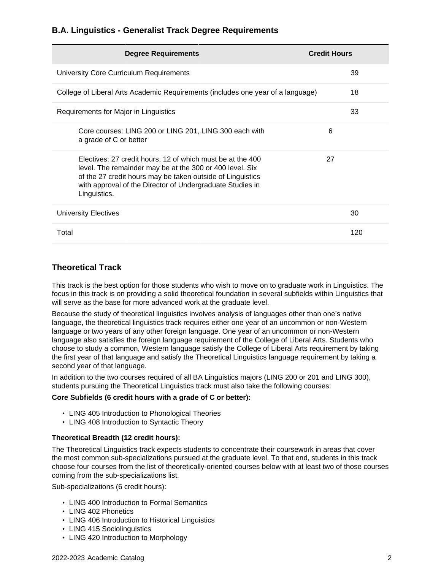## **B.A. Linguistics - Generalist Track Degree Requirements**

| <b>Degree Requirements</b>                                                                                                                                                                                                                                        | <b>Credit Hours</b> |
|-------------------------------------------------------------------------------------------------------------------------------------------------------------------------------------------------------------------------------------------------------------------|---------------------|
| University Core Curriculum Requirements                                                                                                                                                                                                                           | 39                  |
| College of Liberal Arts Academic Requirements (includes one year of a language)                                                                                                                                                                                   | 18                  |
| Requirements for Major in Linguistics                                                                                                                                                                                                                             | 33                  |
| Core courses: LING 200 or LING 201, LING 300 each with<br>a grade of C or better                                                                                                                                                                                  | 6                   |
| Electives: 27 credit hours, 12 of which must be at the 400<br>level. The remainder may be at the 300 or 400 level. Six<br>of the 27 credit hours may be taken outside of Linguistics<br>with approval of the Director of Undergraduate Studies in<br>Linguistics. | 27                  |
| University Electives                                                                                                                                                                                                                                              | 30                  |
| Total                                                                                                                                                                                                                                                             | 120                 |

## **Theoretical Track**

This track is the best option for those students who wish to move on to graduate work in Linguistics. The focus in this track is on providing a solid theoretical foundation in several subfields within Linguistics that will serve as the base for more advanced work at the graduate level.

Because the study of theoretical linguistics involves analysis of languages other than one's native language, the theoretical linguistics track requires either one year of an uncommon or non-Western language or two years of any other foreign language. One year of an uncommon or non-Western language also satisfies the foreign language requirement of the College of Liberal Arts. Students who choose to study a common, Western language satisfy the College of Liberal Arts requirement by taking the first year of that language and satisfy the Theoretical Linguistics language requirement by taking a second year of that language.

In addition to the two courses required of all BA Linguistics majors (LING 200 or 201 and LING 300), students pursuing the Theoretical Linguistics track must also take the following courses:

#### **Core Subfields (6 credit hours with a grade of C or better):**

- LING 405 Introduction to Phonological Theories
- LING 408 Introduction to Syntactic Theory

#### **Theoretical Breadth (12 credit hours):**

The Theoretical Linguistics track expects students to concentrate their coursework in areas that cover the most common sub-specializations pursued at the graduate level. To that end, students in this track choose four courses from the list of theoretically-oriented courses below with at least two of those courses coming from the sub-specializations list.

Sub-specializations (6 credit hours):

- LING 400 Introduction to Formal Semantics
- LING 402 Phonetics
- LING 406 Introduction to Historical Linguistics
- LING 415 Sociolinguistics
- LING 420 Introduction to Morphology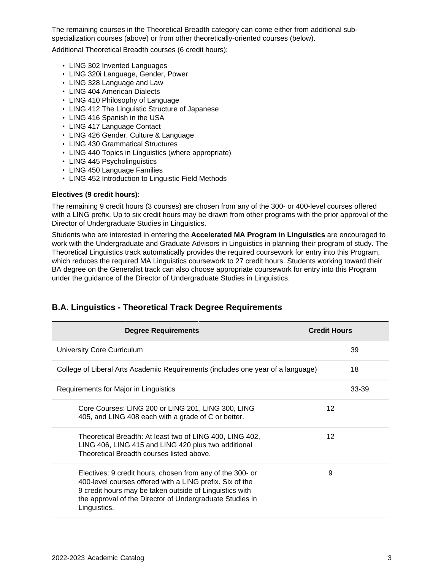The remaining courses in the Theoretical Breadth category can come either from additional subspecialization courses (above) or from other theoretically-oriented courses (below).

Additional Theoretical Breadth courses (6 credit hours):

- LING 302 Invented Languages
- LING 320i Language, Gender, Power
- LING 328 Language and Law
- LING 404 American Dialects
- LING 410 Philosophy of Language
- LING 412 The Linguistic Structure of Japanese
- LING 416 Spanish in the USA
- LING 417 Language Contact
- LING 426 Gender, Culture & Language
- LING 430 Grammatical Structures
- LING 440 Topics in Linguistics (where appropriate)
- LING 445 Psycholinguistics
- LING 450 Language Families
- LING 452 Introduction to Linguistic Field Methods

#### **Electives (9 credit hours):**

The remaining 9 credit hours (3 courses) are chosen from any of the 300- or 400-level courses offered with a LING prefix. Up to six credit hours may be drawn from other programs with the prior approval of the Director of Undergraduate Studies in Linguistics.

Students who are interested in entering the **Accelerated MA Program in Linguistics** are encouraged to work with the Undergraduate and Graduate Advisors in Linguistics in planning their program of study. The Theoretical Linguistics track automatically provides the required coursework for entry into this Program, which reduces the required MA Linguistics coursework to 27 credit hours. Students working toward their BA degree on the Generalist track can also choose appropriate coursework for entry into this Program under the guidance of the Director of Undergraduate Studies in Linguistics.

| <b>Degree Requirements</b>                                                                                                                                                                                                                                   | <b>Credit Hours</b> |
|--------------------------------------------------------------------------------------------------------------------------------------------------------------------------------------------------------------------------------------------------------------|---------------------|
| University Core Curriculum                                                                                                                                                                                                                                   | 39                  |
| College of Liberal Arts Academic Requirements (includes one year of a language)                                                                                                                                                                              | 18                  |
| Requirements for Major in Linguistics                                                                                                                                                                                                                        | 33-39               |
| Core Courses: LING 200 or LING 201, LING 300, LING<br>405, and LING 408 each with a grade of C or better.                                                                                                                                                    | 12                  |
| Theoretical Breadth: At least two of LING 400, LING 402,<br>LING 406, LING 415 and LING 420 plus two additional<br>Theoretical Breadth courses listed above.                                                                                                 | 12                  |
| Electives: 9 credit hours, chosen from any of the 300- or<br>400-level courses offered with a LING prefix. Six of the<br>9 credit hours may be taken outside of Linguistics with<br>the approval of the Director of Undergraduate Studies in<br>Linguistics. | 9                   |

## **B.A. Linguistics - Theoretical Track Degree Requirements**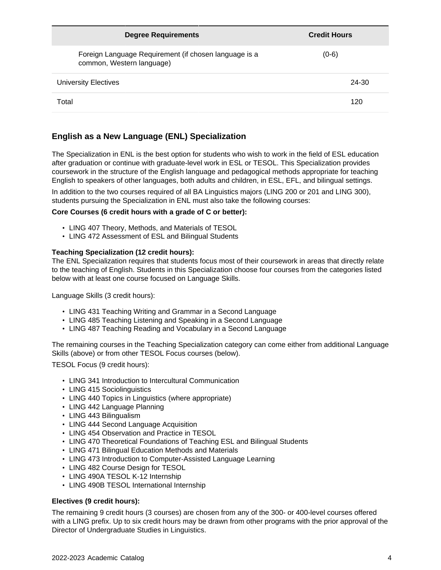| <b>Degree Requirements</b>                                                         | <b>Credit Hours</b> |
|------------------------------------------------------------------------------------|---------------------|
| Foreign Language Requirement (if chosen language is a<br>common, Western language) | $(0-6)$             |
| University Electives                                                               | 24-30               |
| Total                                                                              | 120                 |

# **English as a New Language (ENL) Specialization**

The Specialization in ENL is the best option for students who wish to work in the field of ESL education after graduation or continue with graduate-level work in ESL or TESOL. This Specialization provides coursework in the structure of the English language and pedagogical methods appropriate for teaching English to speakers of other languages, both adults and children, in ESL, EFL, and bilingual settings.

In addition to the two courses required of all BA Linguistics majors (LING 200 or 201 and LING 300), students pursuing the Specialization in ENL must also take the following courses:

#### **Core Courses (6 credit hours with a grade of C or better):**

- LING 407 Theory, Methods, and Materials of TESOL
- LING 472 Assessment of ESL and Bilingual Students

#### **Teaching Specialization (12 credit hours):**

The ENL Specialization requires that students focus most of their coursework in areas that directly relate to the teaching of English. Students in this Specialization choose four courses from the categories listed below with at least one course focused on Language Skills.

Language Skills (3 credit hours):

- LING 431 Teaching Writing and Grammar in a Second Language
- LING 485 Teaching Listening and Speaking in a Second Language
- LING 487 Teaching Reading and Vocabulary in a Second Language

The remaining courses in the Teaching Specialization category can come either from additional Language Skills (above) or from other TESOL Focus courses (below).

TESOL Focus (9 credit hours):

- LING 341 Introduction to Intercultural Communication
- LING 415 Sociolinguistics
- LING 440 Topics in Linguistics (where appropriate)
- LING 442 Language Planning
- LING 443 Bilingualism
- LING 444 Second Language Acquisition
- LING 454 Observation and Practice in TESOL
- LING 470 Theoretical Foundations of Teaching ESL and Bilingual Students
- LING 471 Bilingual Education Methods and Materials
- LING 473 Introduction to Computer-Assisted Language Learning
- LING 482 Course Design for TESOL
- LING 490A TESOL K-12 Internship
- LING 490B TESOL International Internship

#### **Electives (9 credit hours):**

The remaining 9 credit hours (3 courses) are chosen from any of the 300- or 400-level courses offered with a LING prefix. Up to six credit hours may be drawn from other programs with the prior approval of the Director of Undergraduate Studies in Linguistics.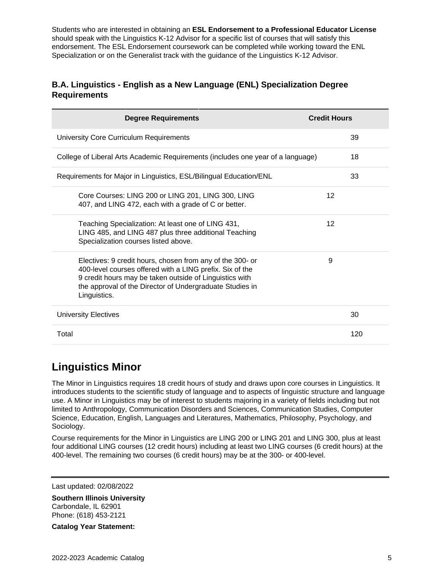Students who are interested in obtaining an **ESL Endorsement to a Professional Educator License** should speak with the Linguistics K-12 Advisor for a specific list of courses that will satisfy this endorsement. The ESL Endorsement coursework can be completed while working toward the ENL Specialization or on the Generalist track with the guidance of the Linguistics K-12 Advisor.

# **B.A. Linguistics - English as a New Language (ENL) Specialization Degree Requirements**

| <b>Degree Requirements</b>                                                                                                                                                                                                                                   | <b>Credit Hours</b> |
|--------------------------------------------------------------------------------------------------------------------------------------------------------------------------------------------------------------------------------------------------------------|---------------------|
| University Core Curriculum Requirements                                                                                                                                                                                                                      | 39                  |
| College of Liberal Arts Academic Requirements (includes one year of a language)                                                                                                                                                                              | 18                  |
| Requirements for Major in Linguistics, ESL/Bilingual Education/ENL                                                                                                                                                                                           | 33                  |
| Core Courses: LING 200 or LING 201, LING 300, LING<br>407, and LING 472, each with a grade of C or better.                                                                                                                                                   | 12                  |
| Teaching Specialization: At least one of LING 431,<br>LING 485, and LING 487 plus three additional Teaching<br>Specialization courses listed above.                                                                                                          | 12                  |
| Electives: 9 credit hours, chosen from any of the 300- or<br>400-level courses offered with a LING prefix. Six of the<br>9 credit hours may be taken outside of Linguistics with<br>the approval of the Director of Undergraduate Studies in<br>Linguistics. | 9                   |
| <b>University Electives</b>                                                                                                                                                                                                                                  | 30                  |
| Total                                                                                                                                                                                                                                                        | 120                 |

# **Linguistics Minor**

The Minor in Linguistics requires 18 credit hours of study and draws upon core courses in Linguistics. It introduces students to the scientific study of language and to aspects of linguistic structure and language use. A Minor in Linguistics may be of interest to students majoring in a variety of fields including but not limited to Anthropology, Communication Disorders and Sciences, Communication Studies, Computer Science, Education, English, Languages and Literatures, Mathematics, Philosophy, Psychology, and Sociology.

Course requirements for the Minor in Linguistics are LING 200 or LING 201 and LING 300, plus at least four additional LING courses (12 credit hours) including at least two LING courses (6 credit hours) at the 400-level. The remaining two courses (6 credit hours) may be at the 300- or 400-level.

Last updated: 02/08/2022

**Southern Illinois University** Carbondale, IL 62901 Phone: (618) 453-2121

**Catalog Year Statement:**